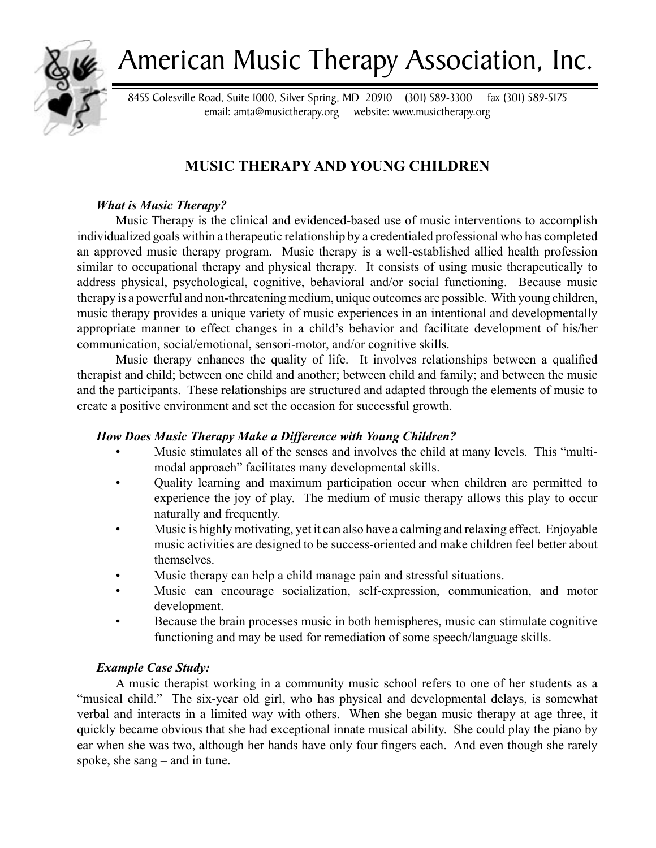

# American Music Therapy Association, Inc.

8455 Colesville Road, Suite 1000, Silver Spring, MD 20910 (301) 589-3300 fax (301) 589-5175 email: amta@musictherapy.org website: www.musictherapy.org

## **MUSIC THERAPY AND YOUNG CHILDREN**

## *What is Music Therapy?*

Music Therapy is the clinical and evidenced-based use of music interventions to accomplish individualized goals within a therapeutic relationship by a credentialed professional who has completed an approved music therapy program. Music therapy is a well-established allied health profession similar to occupational therapy and physical therapy. It consists of using music therapeutically to address physical, psychological, cognitive, behavioral and/or social functioning. Because music therapy is a powerful and non-threatening medium, unique outcomes are possible. With young children, music therapy provides a unique variety of music experiences in an intentional and developmentally appropriate manner to effect changes in a child's behavior and facilitate development of his/her communication, social/emotional, sensori-motor, and/or cognitive skills.

Music therapy enhances the quality of life. It involves relationships between a qualified therapist and child; between one child and another; between child and family; and between the music and the participants. These relationships are structured and adapted through the elements of music to create a positive environment and set the occasion for successful growth.

## *How Does Music Therapy Make a Difference with Young Children?*

- Music stimulates all of the senses and involves the child at many levels. This "multimodal approach" facilitates many developmental skills. •
- Quality learning and maximum participation occur when children are permitted to experience the joy of play. The medium of music therapy allows this play to occur naturally and frequently. •
- Music is highly motivating, yet it can also have a calming and relaxing effect. Enjoyable music activities are designed to be success-oriented and make children feel better about themselves. •
- Music therapy can help a child manage pain and stressful situations. •
- Music can encourage socialization, self-expression, communication, and motor development. •
- Because the brain processes music in both hemispheres, music can stimulate cognitive functioning and may be used for remediation of some speech/language skills. •

## *Example Case Study:*

A music therapist working in a community music school refers to one of her students as a "musical child." The six-year old girl, who has physical and developmental delays, is somewhat verbal and interacts in a limited way with others. When she began music therapy at age three, it quickly became obvious that she had exceptional innate musical ability. She could play the piano by ear when she was two, although her hands have only four fingers each. And even though she rarely spoke, she sang – and in tune.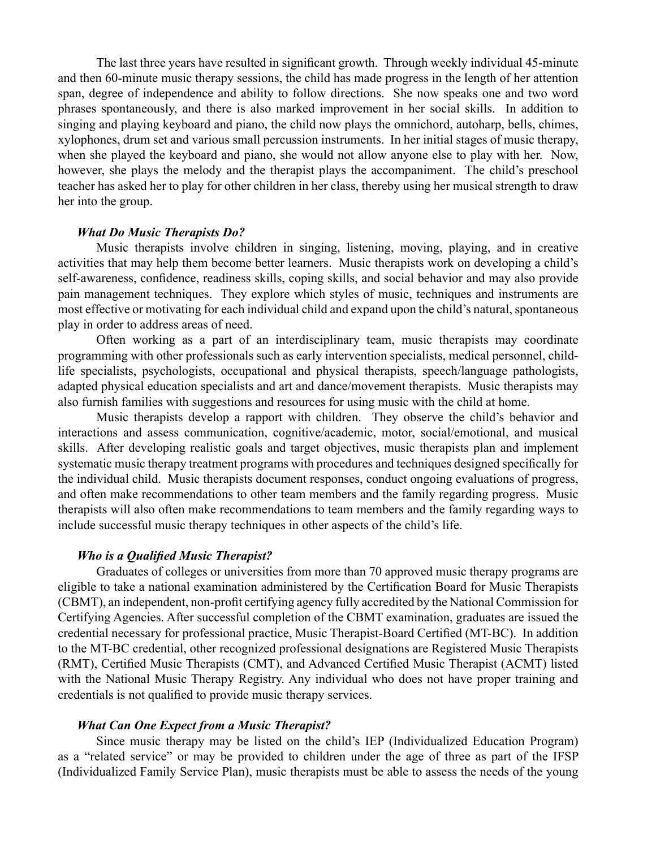The last three years have resulted in significant growth. Through weekly individual 45-minute and then 60-minute music therapy sessions, the child has made progress in the length of her attention span, degree of independence and ability to follow directions. She now speaks one and two word phrases spontaneously, and there is also marked improvement in her social skills. In addition to singing and playing keyboard and piano, the child now plays the omnichord, autoharp, bells, chimes, xylophones, drum set and various small percussion instruments. In her initial stages of music therapy, when she played the keyboard and piano, she would not allow anyone else to play with her. Now, however, she plays the melody and the therapist plays the accompaniment. The child's preschool teacher has asked her to play for other children in her class, thereby using her musical strength to draw her into the group.

#### *What Do Music Therapists Do?*

Music therapists involve children in singing, listening, moving, playing, and in creative activities that may help them become better learners. Music therapists work on developing a child's self-awareness, confidence, readiness skills, coping skills, and social behavior and may also provide pain management techniques. They explore which styles of music, techniques and instruments are most effective or motivating for each individual child and expand upon the child's natural, spontaneous play in order to address areas of need.

Often working as a part of an interdisciplinary team, music therapists may coordinate programming with other professionals such as early intervention specialists, medical personnel, childlife specialists, psychologists, occupational and physical therapists, speech/language pathologists, adapted physical education specialists and art and dance/movement therapists. Music therapists may also furnish families with suggestions and resources for using music with the child at home.

Music therapists develop a rapport with children. They observe the child's behavior and interactions and assess communication, cognitive/academic, motor, social/emotional, and musical skills. After developing realistic goals and target objectives, music therapists plan and implement systematic music therapy treatment programs with procedures and techniques designed specifically for the individual child. Music therapists document responses, conduct ongoing evaluations of progress, and often make recommendations to other team members and the family regarding progress. Music therapists will also often make recommendations to team members and the family regarding ways to include successful music therapy techniques in other aspects of the child's life.

#### *Who is a Qualified Music Therapist?*

Graduates of colleges or universities from more than 70 approved music therapy programs are eligible to take a national examination administered by the Certification Board for Music Therapists (CBMT), an independent, non-profit certifying agency fully accredited by the National Commission for Certifying Agencies. After successful completion of the CBMT examination, graduates are issued the credential necessary for professional practice, Music Therapist-Board Certified (MT-BC). In addition to the MT-BC credential, other recognized professional designations are Registered Music Therapists (RMT), Certified Music Therapists (CMT), and Advanced Certified Music Therapist (ACMT) listed with the National Music Therapy Registry. Any individual who does not have proper training and credentials is not qualified to provide music therapy services.

#### *What Can One Expect from a Music Therapist?*

Since music therapy may be listed on the child's IEP (Individualized Education Program) as a "related service" or may be provided to children under the age of three as part of the IFSP (Individualized Family Service Plan), music therapists must be able to assess the needs of the young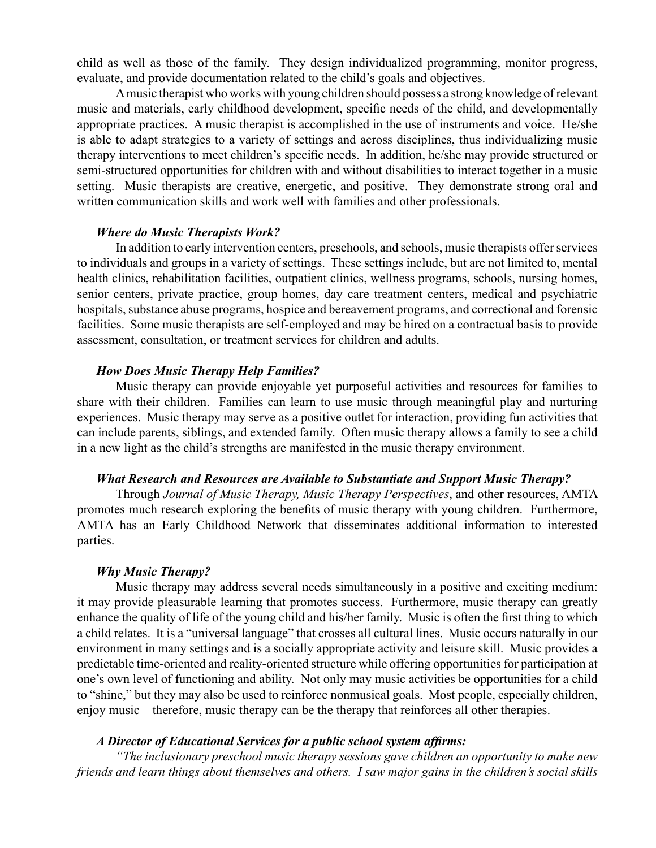child as well as those of the family. They design individualized programming, monitor progress, evaluate, and provide documentation related to the child's goals and objectives.

A music therapist who works with young children should possess a strong knowledge of relevant music and materials, early childhood development, specific needs of the child, and developmentally appropriate practices. A music therapist is accomplished in the use of instruments and voice. He/she is able to adapt strategies to a variety of settings and across disciplines, thus individualizing music therapy interventions to meet children's specific needs. In addition, he/she may provide structured or semi-structured opportunities for children with and without disabilities to interact together in a music setting. Music therapists are creative, energetic, and positive. They demonstrate strong oral and written communication skills and work well with families and other professionals.

#### *Where do Music Therapists Work?*

In addition to early intervention centers, preschools, and schools, music therapists offer services to individuals and groups in a variety of settings. These settings include, but are not limited to, mental health clinics, rehabilitation facilities, outpatient clinics, wellness programs, schools, nursing homes, senior centers, private practice, group homes, day care treatment centers, medical and psychiatric hospitals, substance abuse programs, hospice and bereavement programs, and correctional and forensic facilities. Some music therapists are self-employed and may be hired on a contractual basis to provide assessment, consultation, or treatment services for children and adults.

#### *How Does Music Therapy Help Families?*

Music therapy can provide enjoyable yet purposeful activities and resources for families to share with their children. Families can learn to use music through meaningful play and nurturing experiences. Music therapy may serve as a positive outlet for interaction, providing fun activities that can include parents, siblings, and extended family. Often music therapy allows a family to see a child in a new light as the child's strengths are manifested in the music therapy environment.

#### *What Research and Resources are Available to Substantiate and Support Music Therapy?*

Through *Journal of Music Therapy, Music Therapy Perspectives*, and other resources, AMTA promotes much research exploring the benefits of music therapy with young children. Furthermore, AMTA has an Early Childhood Network that disseminates additional information to interested parties.

#### *Why Music Therapy?*

Music therapy may address several needs simultaneously in a positive and exciting medium: it may provide pleasurable learning that promotes success. Furthermore, music therapy can greatly enhance the quality of life of the young child and his/her family. Music is often the first thing to which a child relates. It is a "universal language" that crosses all cultural lines. Music occurs naturally in our environment in many settings and is a socially appropriate activity and leisure skill. Music provides a predictable time-oriented and reality-oriented structure while offering opportunities for participation at one's own level of functioning and ability. Not only may music activities be opportunities for a child to "shine," but they may also be used to reinforce nonmusical goals. Most people, especially children, enjoy music – therefore, music therapy can be the therapy that reinforces all other therapies.

#### *A Director of Educational Services for a public school system affirms:*

*"The inclusionary preschool music therapy sessions gave children an opportunity to make new friends and learn things about themselves and others. I saw major gains in the children's social skills*